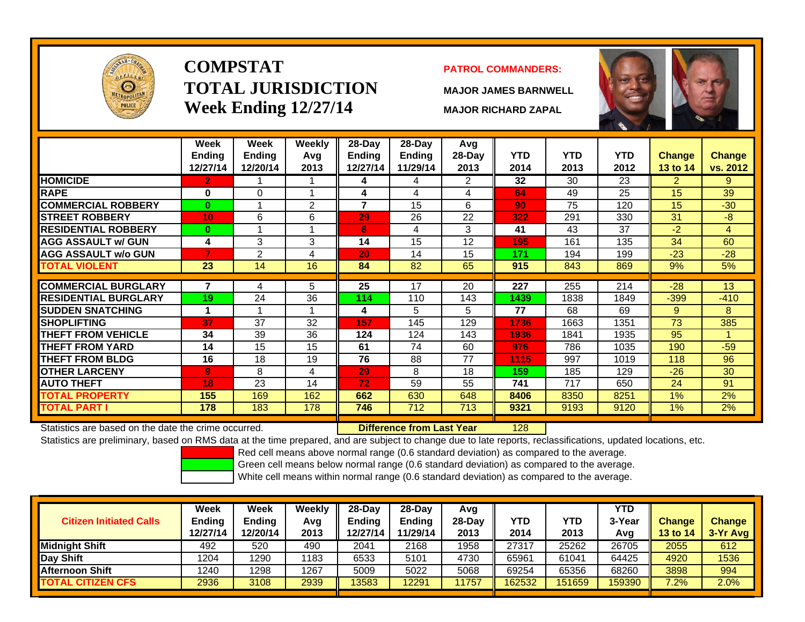

# **COMPSTATTOTAL JURISDICTIONWeek Ending 12/27/14 MAJOR RICHARD ZAPAL**

### **PATROL COMMANDERS:**

**MAJOR JAMES BARNWELL**



|                             | Week<br><b>Ending</b> | Week<br><b>Ending</b> | Weekly<br>Avg | $28-Dav$<br><b>Ending</b> | 28-Day<br><b>Ending</b> | Avg<br>$28-Day$ | <b>YTD</b> | <b>YTD</b> | <b>YTD</b> | <b>Change</b>  | Change   |
|-----------------------------|-----------------------|-----------------------|---------------|---------------------------|-------------------------|-----------------|------------|------------|------------|----------------|----------|
|                             | 12/27/14              | 12/20/14              | 2013          | 12/27/14                  | 11/29/14                | 2013            | 2014       | 2013       | 2012       | 13 to 14       | vs. 2012 |
| <b>HOMICIDE</b>             | 2.                    |                       |               | 4                         | 4                       | 2               | 32         | 30         | 23         | $\overline{2}$ | 9        |
| <b>RAPE</b>                 | 0                     | $\Omega$              |               | 4                         | 4                       | 4               | 64         | 49         | 25         | 15             | 39       |
| <b>COMMERCIAL ROBBERY</b>   | $\mathbf{0}$          |                       | 2             | $\overline{7}$            | 15                      | 6               | 90         | 75         | 120        | 15             | $-30$    |
| <b>ISTREET ROBBERY</b>      | 10                    | 6                     | 6             | 29                        | 26                      | 22              | 322        | 291        | 330        | 31             | -8       |
| <b>RESIDENTIAL ROBBERY</b>  | $\bf{0}$              |                       |               | 6                         | 4                       | 3               | 41         | 43         | 37         | $-2$           | 4        |
| <b>AGG ASSAULT w/ GUN</b>   | 4                     | 3                     | 3             | 14                        | 15                      | 12              | 195        | 161        | 135        | 34             | 60       |
| <b>AGG ASSAULT w/o GUN</b>  | 7                     | 2                     | 4             | 20                        | 14                      | 15              | 171        | 194        | 199        | $-23$          | $-28$    |
| <b>TOTAL VIOLENT</b>        | 23                    | 14                    | 16            | 84                        | 82                      | 65              | 915        | 843        | 869        | 9%             | 5%       |
|                             |                       |                       |               |                           |                         |                 |            |            |            |                |          |
| <b>COMMERCIAL BURGLARY</b>  |                       | 4                     | 5             | 25                        | 17                      | 20              | 227        | 255        | 214        | $-28$          | 13       |
| <b>RESIDENTIAL BURGLARY</b> | 19                    | 24                    | 36            | 114                       | 110                     | 143             | 1439       | 1838       | 1849       | $-399$         | $-410$   |
| <b>SUDDEN SNATCHING</b>     |                       |                       |               | 4                         | 5                       | 5               | 77         | 68         | 69         | 9              | 8        |
| <b>ISHOPLIFTING</b>         | 37                    | 37                    | 32            | 157                       | 145                     | 129             | 1736       | 1663       | 1351       | 73             | 385      |
| <b>THEFT FROM VEHICLE</b>   | 34                    | 39                    | 36            | 124                       | 124                     | 143             | 1936       | 1841       | 1935       | 95             |          |
| <b>THEFT FROM YARD</b>      | 14                    | 15                    | 15            | 61                        | 74                      | 60              | 976        | 786        | 1035       | 190            | $-59$    |
| <b>THEFT FROM BLDG</b>      | 16                    | 18                    | 19            | 76                        | 88                      | 77              | 1115       | 997        | 1019       | 118            | 96       |
| <b>OTHER LARCENY</b>        | 9                     | 8                     | 4             | 29                        | 8                       | 18              | 159        | 185        | 129        | $-26$          | 30       |
| <b>AUTO THEFT</b>           | 18                    | 23                    | 14            | 72                        | 59                      | 55              | 741        | 717        | 650        | 24             | 91       |
| <b>TOTAL PROPERTY</b>       | 155                   | 169                   | 162           | 662                       | 630                     | 648             | 8406       | 8350       | 8251       | $1\%$          | 2%       |
| <b>TOTAL PART I</b>         | 178                   | 183                   | 178           | 746                       | 712                     | 713             | 9321       | 9193       | 9120       | 1%             | 2%       |

Statistics are based on the date the crime occurred. **Difference from Last Year** 

128

Statistics are preliminary, based on RMS data at the time prepared, and are subject to change due to late reports, reclassifications, updated locations, etc.

Red cell means above normal range (0.6 standard deviation) as compared to the average.

Green cell means below normal range (0.6 standard deviation) as compared to the average.

| <b>Citizen Initiated Calls</b> | Week<br><b>Ending</b><br>12/27/14 | Week<br><b>Ending</b><br>12/20/14 | Weekly<br>Avg<br>2013 | 28-Day<br><b>Ending</b><br>12/27/14 | 28-Day<br><b>Ending</b><br>11/29/14 | Avg<br>28-Dav<br>2013 | YTD<br>2014 | YTD<br>2013 | <b>YTD</b><br>3-Yea<br>Avg | Change<br><b>13 to 14</b> | <b>Change</b><br>3-Yr Avg |
|--------------------------------|-----------------------------------|-----------------------------------|-----------------------|-------------------------------------|-------------------------------------|-----------------------|-------------|-------------|----------------------------|---------------------------|---------------------------|
| <b>I</b> Midniaht Shift        | 492                               | 520                               | 490                   | 2041                                | 2168                                | 1958                  | 27317       | 25262       | 26705                      | 2055                      | 612                       |
| Day Shift                      | 1204                              | 1290                              | 1183                  | 6533                                | 5101                                | 4730                  | 65961       | 61041       | 64425                      | 4920                      | 1536                      |
| <b>Afternoon Shift</b>         | 1240                              | 1298                              | 1267                  | 5009                                | 5022                                | 5068                  | 69254       | 65356       | 68260                      | 3898                      | 994                       |
| <b>ITOTAL CITIZEN CFS</b>      | 2936                              | 3108                              | 2939                  | 13583                               | 12291                               | 11757                 | 162532      | 151659      | 159390                     | $7.2\%$                   | 2.0%                      |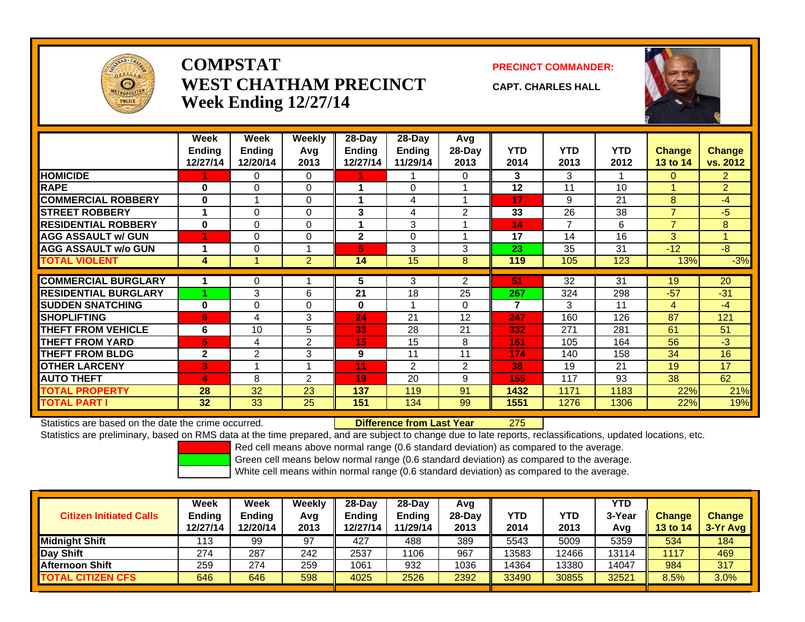

### **COMPSTATWEST CHATHAM PRECINCTWeek Ending 12/27/14**

**PRECINCT COMMANDER:**

**CAPT. CHARLES HALL**



|                             | <b>Week</b><br>Ending<br>12/27/14 | <b>Week</b><br>Ending<br>12/20/14 | Weekly<br>Avq<br>2013 | 28-Day<br><b>Ending</b><br>12/27/14 | $28 - Day$<br><b>Ending</b><br>11/29/14 | Avg<br>28-Day<br>2013 | <b>YTD</b><br>2014 | <b>YTD</b><br>2013 | <b>YTD</b><br>2012 | <b>Change</b><br>13 to 14 | <b>Change</b><br>vs. 2012 |
|-----------------------------|-----------------------------------|-----------------------------------|-----------------------|-------------------------------------|-----------------------------------------|-----------------------|--------------------|--------------------|--------------------|---------------------------|---------------------------|
| <b>HOMICIDE</b>             |                                   | 0                                 | $\Omega$              |                                     |                                         | 0                     | 3                  | 3                  |                    | $\Omega$                  | $\overline{2}$            |
| <b>RAPE</b>                 | $\bf{0}$                          | $\Omega$                          | $\Omega$              |                                     | $\Omega$                                |                       | 12                 | 11                 | 10                 |                           | $\overline{2}$            |
| <b>COMMERCIAL ROBBERY</b>   | $\bf{0}$                          |                                   | $\Omega$              |                                     | $\overline{4}$                          |                       | 17                 | 9                  | 21                 | 8                         | $-4$                      |
| <b>STREET ROBBERY</b>       | 1                                 | 0                                 | $\Omega$              | 3                                   | 4                                       | $\overline{2}$        | 33                 | 26                 | 38                 | $\overline{7}$            | $-5$                      |
| <b>RESIDENTIAL ROBBERY</b>  | $\bf{0}$                          | 0                                 | $\Omega$              |                                     | 3                                       |                       | 14                 | 7                  | 6                  | $\overline{7}$            | 8                         |
| <b>AGG ASSAULT w/ GUN</b>   |                                   | 0                                 | $\mathbf 0$           | $\mathbf{2}$                        | $\Omega$                                |                       | 17                 | 14                 | 16                 | 3                         |                           |
| <b>AGG ASSAULT w/o GUN</b>  | 1                                 | 0                                 |                       | 5.                                  | 3                                       | 3                     | 23                 | 35                 | 31                 | $-12$                     | $-8$                      |
| <b>TOTAL VIOLENT</b>        | 4                                 |                                   | $\overline{2}$        | 14                                  | 15                                      | 8                     | 119                | 105                | 123                | 13%                       | $-3%$                     |
|                             |                                   |                                   |                       |                                     |                                         |                       |                    |                    |                    |                           |                           |
| <b>COMMERCIAL BURGLARY</b>  |                                   | 0                                 |                       | 5                                   | 3                                       | $\overline{2}$        | 51                 | 32                 | 31                 | 19                        | 20                        |
| <b>RESIDENTIAL BURGLARY</b> |                                   | 3                                 | 6                     | 21                                  | 18                                      | 25                    | 267                | 324                | 298                | $-57$                     | $-31$                     |
| <b>SUDDEN SNATCHING</b>     | $\bf{0}$                          | 0                                 | $\Omega$              | $\mathbf{0}$                        |                                         | $\Omega$              | $\overline{7}$     | 3                  | 11                 | $\overline{4}$            | $-4$                      |
| <b>SHOPLIFTING</b>          | 6                                 | 4                                 | 3                     | 24                                  | 21                                      | 12                    | 247                | 160                | 126                | 87                        | 121                       |
| <b>THEFT FROM VEHICLE</b>   | 6                                 | 10                                | 5                     | 33                                  | 28                                      | 21                    | 332                | 271                | 281                | 61                        | 51                        |
| <b>THEFT FROM YARD</b>      | 5                                 | 4                                 | 2                     | 15                                  | 15                                      | 8                     | 161                | 105                | 164                | 56                        | $-3$                      |
| <b>THEFT FROM BLDG</b>      | $\mathbf{2}$                      | $\overline{2}$                    | 3                     | 9                                   | 11                                      | 11                    | 174                | 140                | 158                | 34                        | 16                        |
| <b>OTHER LARCENY</b>        | 3                                 |                                   |                       | 11                                  | 2                                       | 2                     | 38                 | 19                 | 21                 | 19                        | 17                        |
| <b>AUTO THEFT</b>           | 4                                 | 8                                 | $\overline{2}$        | 19                                  | 20                                      | 9                     | 155                | 117                | 93                 | 38                        | 62                        |
| <b>TOTAL PROPERTY</b>       | 28                                | 32                                | 23                    | 137                                 | 119                                     | 91                    | 1432               | 1171               | 1183               | 22%                       | 21%                       |
| <b>TOTAL PART I</b>         | 32                                | 33                                | 25                    | 151                                 | 134                                     | 99                    | 1551               | 1276               | 1306               | 22%                       | 19%                       |

Statistics are based on the date the crime occurred. **Difference from Last Year** 

275

Statistics are preliminary, based on RMS data at the time prepared, and are subject to change due to late reports, reclassifications, updated locations, etc.

Red cell means above normal range (0.6 standard deviation) as compared to the average.

Green cell means below normal range (0.6 standard deviation) as compared to the average.

| <b>Citizen Initiated Calls</b> | Week<br><b>Ending</b><br>12/27/14 | Week<br><b>Ending</b><br>12/20/14 | Weekly<br>Avg<br>2013 | $28-Day$<br>Ending<br>12/27/14 | $28-Day$<br><b>Ending</b><br>11/29/14 | Avg<br>28-Dav<br>2013 | YTD<br>2014 | <b>YTD</b><br>2013 | <b>YTD</b><br>3-Year<br>Avg | <b>Change</b><br><b>13 to 14</b> | <b>Change</b><br>$3-Yr$ Avg |
|--------------------------------|-----------------------------------|-----------------------------------|-----------------------|--------------------------------|---------------------------------------|-----------------------|-------------|--------------------|-----------------------------|----------------------------------|-----------------------------|
| <b>Midnight Shift</b>          | 113                               | 99                                | 97                    | 427                            | 488                                   | 389                   | 5543        | 5009               | 5359                        | 534                              | 184                         |
| Day Shift                      | 274                               | 287                               | 242                   | 2537                           | 1106                                  | 967                   | 13583       | 12466              | 3114                        | 1117                             | 469                         |
| <b>Afternoon Shift</b>         | 259                               | 274                               | 259                   | 1061                           | 932                                   | 1036                  | 14364       | 13380              | 14047                       | 984                              | 317                         |
| <b>TOTAL CITIZEN CFS</b>       | 646                               | 646                               | 598                   | 4025                           | 2526                                  | 2392                  | 33490       | 30855              | 32521                       | 8.5%                             | 3.0%                        |
|                                |                                   |                                   |                       |                                |                                       |                       |             |                    |                             |                                  |                             |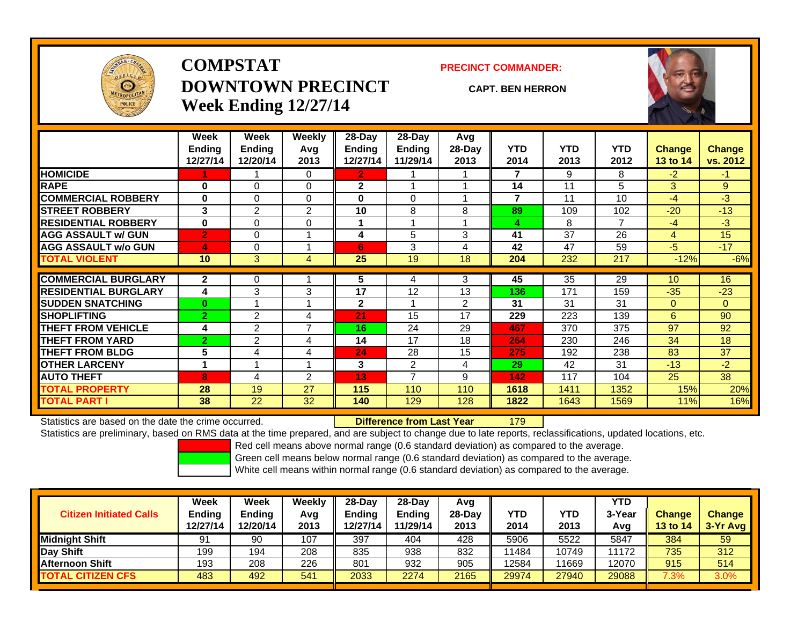

## **COMPSTATDOWNTOWN PRECINCTWeek Ending 12/27/14**

#### **PRECINCT COMMANDER:**

#### **CAPT. BEN HERRON**

179



|                             | Week<br><b>Ending</b> | Week<br><b>Ending</b> | Weekly<br>Avg  | 28-Day<br><b>Ending</b> | $28-Day$<br><b>Ending</b> | Avg<br>28-Day  | <b>YTD</b> | <b>YTD</b> | <b>YTD</b> | <b>Change</b>  | <b>Change</b>  |
|-----------------------------|-----------------------|-----------------------|----------------|-------------------------|---------------------------|----------------|------------|------------|------------|----------------|----------------|
|                             | 12/27/14              | 12/20/14              | 2013           | 12/27/14                | 11/29/14                  | 2013           | 2014       | 2013       | 2012       | 13 to 14       | vs. 2012       |
| <b>HOMICIDE</b>             |                       |                       | $\Omega$       | 2.                      |                           |                | 7          | 9          | 8          | $-2$           | $\blacksquare$ |
| <b>RAPE</b>                 | 0                     | 0                     | $\mathbf 0$    | $\mathbf{2}$            |                           |                | 14         | 11         | 5          | 3              | 9              |
| <b>COMMERCIAL ROBBERY</b>   | $\bf{0}$              | 0                     | $\Omega$       | $\bf{0}$                | $\Omega$                  |                | 7          | 11         | 10         | $-4$           | $-3$           |
| <b>ISTREET ROBBERY</b>      | 3                     | $\overline{2}$        | 2              | 10                      | 8                         | 8              | 89         | 109        | 102        | $-20$          | $-13$          |
| <b>RESIDENTIAL ROBBERY</b>  | $\bf{0}$              | 0                     | $\mathbf 0$    |                         |                           |                | 4          | 8          | 7          | $-4$           | $-3$           |
| <b>AGG ASSAULT w/ GUN</b>   | $\overline{2}$        | 0                     |                | 4                       | 5                         | 3              | 41         | 37         | 26         | $\overline{4}$ | 15             |
| <b>AGG ASSAULT w/o GUN</b>  | $\boldsymbol{A}$      | 0                     |                | 6                       | 3                         | 4              | 42         | 47         | 59         | $-5$           | $-17$          |
| <b>TOTAL VIOLENT</b>        | 10                    | 3                     | 4              | 25                      | 19                        | 18             | 204        | 232        | 217        | $-12%$         | $-6%$          |
| <b>COMMERCIAL BURGLARY</b>  | $\mathbf{2}$          | 0                     |                | 5                       | 4                         | 3              | 45         | 35         | 29         | 10             | 16             |
| <b>RESIDENTIAL BURGLARY</b> | 4                     | 3                     | 3              | 17                      | 12                        | 13             | 136        | 171        | 159        | $-35$          | $-23$          |
| <b>SUDDEN SNATCHING</b>     | $\bf{0}$              | 4                     |                | $\mathbf{2}$            |                           | $\overline{2}$ | 31         | 31         | 31         | $\Omega$       | $\overline{0}$ |
| <b>SHOPLIFTING</b>          | $\overline{2}$        | 2                     | 4              | 21                      | 15                        | 17             | 229        | 223        | 139        | 6              | 90             |
| <b>THEFT FROM VEHICLE</b>   | 4                     | $\overline{2}$        | $\overline{ }$ | 16                      | 24                        | 29             | 467        | 370        | 375        | 97             | 92             |
| <b>THEFT FROM YARD</b>      | $\overline{2}$        | 2                     | 4              | 14                      | 17                        | 18             | 264        | 230        | 246        | 34             | 18             |
| <b>THEFT FROM BLDG</b>      | 5                     | 4                     | 4              | 24                      | 28                        | 15             | 275        | 192        | 238        | 83             | 37             |
| <b>OTHER LARCENY</b>        | 1                     |                       |                | 3                       | 2                         | 4              | 29         | 42         | 31         | $-13$          | $-2$           |
| <b>AUTO THEFT</b>           | 8                     | 4                     | 2              | 13                      | 7                         | 9              | 142        | 117        | 104        | 25             | 38             |
| <b>TOTAL PROPERTY</b>       | 28                    | 19                    | 27             | 115                     | 110                       | 110            | 1618       | 1411       | 1352       | 15%            | 20%            |
| <b>TOTAL PART I</b>         | 38                    | 22                    | 32             | 140                     | 129                       | 128            | 1822       | 1643       | 1569       | 11%            | 16%            |

Statistics are based on the date the crime occurred. **Difference from Last Year** 

Statistics are preliminary, based on RMS data at the time prepared, and are subject to change due to late reports, reclassifications, updated locations, etc.

Red cell means above normal range (0.6 standard deviation) as compared to the average.

Green cell means below normal range (0.6 standard deviation) as compared to the average.

| <b>Citizen Initiated Calls</b> | Week<br><b>Ending</b><br>12/27/14 | Week<br><b>Ending</b><br>12/20/14 | Weeklv<br>Avg<br>2013 | $28-Dav$<br><b>Ending</b><br>12/27/14 | $28-Dav$<br>Endina<br>11/29/14 | Avg<br>$28-Dav$<br>2013 | YTD<br>2014 | <b>YTD</b><br>2013 | <b>YTD</b><br>3-Year<br>Avg | <b>Change</b><br><b>13 to 14</b> | <b>Change</b><br>$3-Yr$ Avg |
|--------------------------------|-----------------------------------|-----------------------------------|-----------------------|---------------------------------------|--------------------------------|-------------------------|-------------|--------------------|-----------------------------|----------------------------------|-----------------------------|
| <b>Midnight Shift</b>          | 91                                | 90                                | 107                   | 397                                   | 404                            | 428                     | 5906        | 5522               | 5847                        | 384                              | 59                          |
| Day Shift                      | 199                               | 194                               | 208                   | 835                                   | 938                            | 832                     | 1484        | 10749              | 11172                       | 735                              | 312                         |
| <b>Afternoon Shift</b>         | 193                               | 208                               | 226                   | 801                                   | 932                            | 905                     | 12584       | 11669              | 2070                        | 915                              | 514                         |
| <b>TOTAL CITIZEN CFS</b>       | 483                               | 492                               | 541                   | 2033                                  | 2274                           | 2165                    | 29974       | 27940              | 29088                       | $7.3\%$                          | 3.0%                        |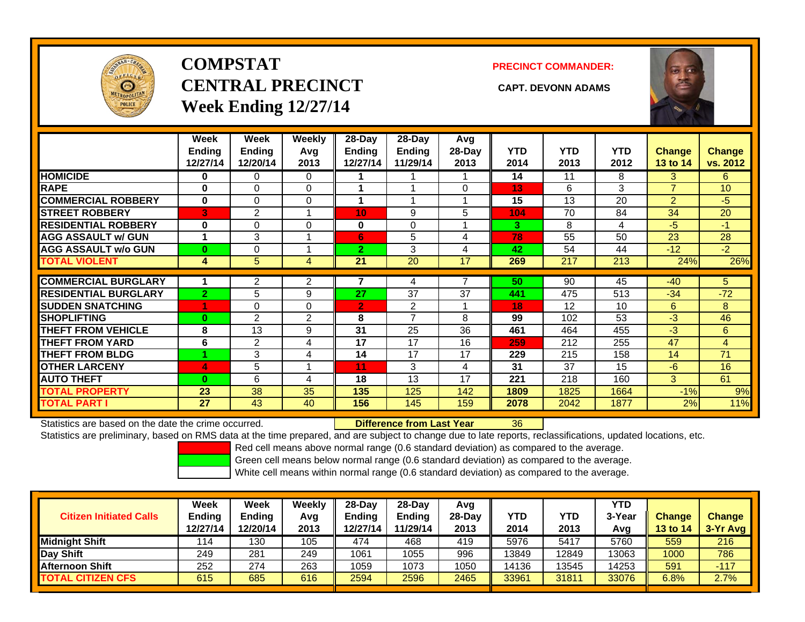

# **COMPSTATCENTRAL PRECINCT CAPT. DEVONN ADAMSWeek Ending 12/27/14**

**PRECINCT COMMANDER:**



|                             | Week<br><b>Ending</b><br>12/27/14 | Week<br><b>Ending</b><br>12/20/14 | <b>Weekly</b><br>Avg<br>2013 | 28-Day<br>Endina<br>12/27/14 | 28-Day<br><b>Endina</b><br>11/29/14 | Avg<br>28-Day<br>2013 | <b>YTD</b><br>2014 | <b>YTD</b><br>2013 | <b>YTD</b><br>2012 | <b>Change</b><br>13 to 14 | Change<br>vs. 2012 |
|-----------------------------|-----------------------------------|-----------------------------------|------------------------------|------------------------------|-------------------------------------|-----------------------|--------------------|--------------------|--------------------|---------------------------|--------------------|
| <b>HOMICIDE</b>             | 0                                 | 0                                 | 0                            |                              |                                     |                       | 14                 | 11                 | 8                  | 3                         | 6                  |
| <b>RAPE</b>                 | $\bf{0}$                          | 0                                 | $\Omega$                     |                              |                                     | 0                     | 13                 | 6                  | 3                  | $\overline{7}$            | 10                 |
| <b>COMMERCIAL ROBBERY</b>   | $\bf{0}$                          | $\Omega$                          | $\Omega$                     |                              |                                     |                       | 15                 | 13                 | 20                 | $\overline{2}$            | $-5$               |
| <b>STREET ROBBERY</b>       | 3                                 | 2                                 | 1                            | 10                           | 9                                   | 5                     | 104                | 70                 | 84                 | 34                        | 20                 |
| <b>RESIDENTIAL ROBBERY</b>  | $\bf{0}$                          | $\Omega$                          | $\Omega$                     | 0                            | 0                                   |                       | 3                  | 8                  | 4                  | $-5$                      | $-1$               |
| <b>AGG ASSAULT w/ GUN</b>   | 1                                 | 3                                 |                              | 6                            | 5                                   | 4                     | 78                 | 55                 | 50                 | 23                        | 28                 |
| <b>AGG ASSAULT w/o GUN</b>  | $\bf{0}$                          | 0                                 |                              | $\mathbf{2}$                 | 3                                   | 4                     | 42                 | 54                 | 44                 | $-12$                     | $-2$               |
| <b>TOTAL VIOLENT</b>        | 4                                 | 5                                 | 4                            | 21                           | 20                                  | 17                    | 269                | 217                | 213                | 24%                       | 26%                |
|                             |                                   |                                   |                              |                              |                                     |                       | 50                 |                    |                    | $-40$                     |                    |
| <b>COMMERCIAL BURGLARY</b>  |                                   | 2                                 | 2                            |                              | 4                                   |                       |                    | 90                 | 45                 |                           | 5.                 |
| <b>RESIDENTIAL BURGLARY</b> | $\overline{2}$                    | 5                                 | 9                            | 27                           | 37                                  | 37                    | 441                | 475                | 513                | $-34$                     | $-72$              |
| <b>SUDDEN SNATCHING</b>     | 1                                 | 0                                 | $\Omega$                     | $\overline{2}$               | 2                                   |                       | 18                 | 12                 | 10                 | 6                         | 8                  |
| <b>SHOPLIFTING</b>          | $\bf{0}$                          | 2                                 | 2                            | 8                            | $\overline{ }$                      | 8                     | 99                 | 102                | 53                 | $-3$                      | 46                 |
| <b>THEFT FROM VEHICLE</b>   | 8                                 | 13                                | 9                            | 31                           | 25                                  | 36                    | 461                | 464                | 455                | $-3$                      | 6                  |
| <b>THEFT FROM YARD</b>      | 6                                 | 2                                 | 4                            | 17                           | 17                                  | 16                    | 259                | 212                | 255                | 47                        | 4                  |
| <b>THEFT FROM BLDG</b>      |                                   | 3                                 | 4                            | 14                           | 17                                  | 17                    | 229                | 215                | 158                | 14                        | 71                 |
| <b>OTHER LARCENY</b>        | 4                                 | 5                                 |                              | 11                           | 3                                   | 4                     | 31                 | 37                 | 15                 | $-6$                      | 16                 |
| <b>AUTO THEFT</b>           | $\bf{0}$                          | 6                                 | 4                            | 18                           | 13                                  | 17                    | 221                | 218                | 160                | 3                         | 61                 |
| <b>TOTAL PROPERTY</b>       | 23                                | 38                                | 35                           | 135                          | 125                                 | 142                   | 1809               | 1825               | 1664               | $-1%$                     | 9%                 |
| <b>TOTAL PART I</b>         | 27                                | 43                                | 40                           | 156                          | 145                                 | 159                   | 2078               | 2042               | 1877               | 2%                        | 11%                |

Statistics are based on the date the crime occurred. **Difference from Last Year** 

36

Statistics are preliminary, based on RMS data at the time prepared, and are subject to change due to late reports, reclassifications, updated locations, etc.

Red cell means above normal range (0.6 standard deviation) as compared to the average.

Green cell means below normal range (0.6 standard deviation) as compared to the average.

| <b>Citizen Initiated Calls</b> | Week<br><b>Ending</b><br>12/27/14 | Week<br>Ending<br>12/20/14 | Weeklv<br>Avg<br>2013 | $28-Day$<br><b>Ending</b><br>12/27/14 | 28-Dav<br><b>Ending</b><br>11/29/14 | Avg<br>$28-Dav$<br>2013 | YTD<br>2014 | YTD<br>2013 | <b>YTD</b><br>3-Year<br>Avg | <b>Change</b><br><b>13 to 14</b> | <b>Change</b><br>3-Yr Avg |
|--------------------------------|-----------------------------------|----------------------------|-----------------------|---------------------------------------|-------------------------------------|-------------------------|-------------|-------------|-----------------------------|----------------------------------|---------------------------|
| <b>Midnight Shift</b>          | 114                               | 130                        | 105                   | 474                                   | 468                                 | 419                     | 5976        | 5417        | 5760                        | 559                              | 216                       |
| Day Shift                      | 249                               | 281                        | 249                   | 1061                                  | 1055                                | 996                     | 13849       | 12849       | 13063                       | 1000                             | 786                       |
| <u>I</u> Afternoon Shift       | 252                               | 274                        | 263                   | 1059                                  | 1073                                | 1050                    | 14136       | 3545        | 14253                       | 591                              | $-117$                    |
| <b>TOTAL CITIZEN CFS</b>       | 615                               | 685                        | 616                   | 2594                                  | 2596                                | 2465                    | 33961       | 31811       | 33076                       | 6.8%                             | 2.7%                      |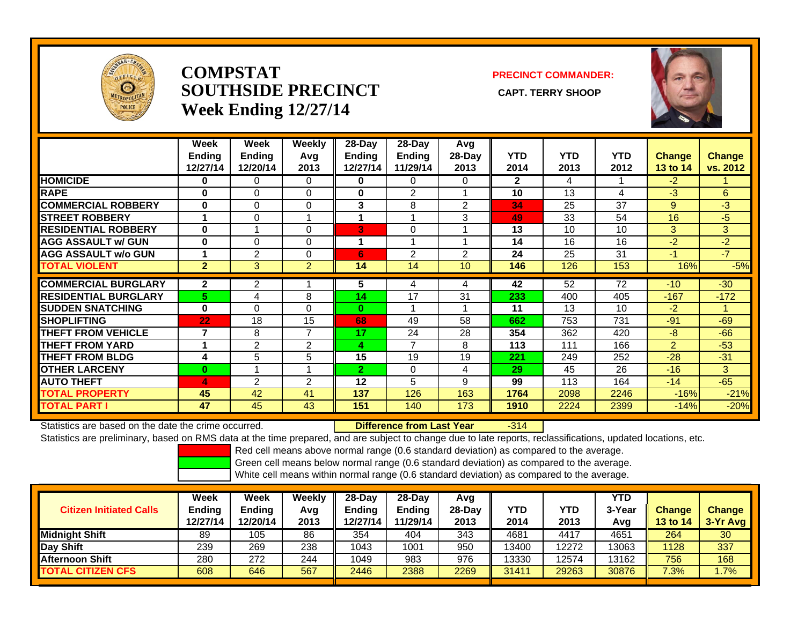

### **COMPSTATSOUTHSIDE PRECINCT** CAPT. TERRY SHOOP **Week Ending 12/27/14**

### **PRECINCT COMMANDER:**



|                             | Week<br><b>Ending</b><br>12/27/14 | Week<br><b>Ending</b><br>12/20/14 | Weekly<br>Avq<br>2013 | 28-Day<br>Ending<br>12/27/14 | 28-Day<br><b>Ending</b><br>11/29/14 | Avg<br>$28-Day$<br>2013 | <b>YTD</b><br>2014 | <b>YTD</b><br>2013 | <b>YTD</b><br>2012 | <b>Change</b><br><b>13 to 14</b> | <b>Change</b><br>vs. 2012 |
|-----------------------------|-----------------------------------|-----------------------------------|-----------------------|------------------------------|-------------------------------------|-------------------------|--------------------|--------------------|--------------------|----------------------------------|---------------------------|
| <b>HOMICIDE</b>             | 0                                 | 0                                 | 0                     | 0                            | 0                                   | 0                       | $\mathbf{2}$       | 4                  |                    | $-2$                             |                           |
| <b>RAPE</b>                 | $\bf{0}$                          | $\Omega$                          | 0                     | $\bf{0}$                     | $\overline{2}$                      |                         | 10                 | 13                 | 4                  | -3                               | 6                         |
| <b>COMMERCIAL ROBBERY</b>   | $\bf{0}$                          | $\Omega$                          | $\Omega$              | 3                            | 8                                   | 2                       | 34                 | 25                 | 37                 | 9                                | $-3$                      |
| <b>STREET ROBBERY</b>       |                                   | 0                                 |                       |                              |                                     | 3                       | 49                 | 33                 | 54                 | 16                               | $-5$                      |
| <b>RESIDENTIAL ROBBERY</b>  | $\bf{0}$                          |                                   | 0                     | 3                            | $\Omega$                            |                         | 13                 | 10                 | 10                 | 3                                | 3                         |
| <b>AGG ASSAULT w/ GUN</b>   | $\bf{0}$                          | $\Omega$                          | $\Omega$              | 1                            |                                     |                         | 14                 | 16                 | 16                 | -2                               | $-2$                      |
| <b>AGG ASSAULT w/o GUN</b>  |                                   | $\overline{2}$                    | $\Omega$              | 6                            | $\overline{2}$                      | 2                       | 24                 | 25                 | 31                 | $-1$                             | $-7$                      |
| <b>TOTAL VIOLENT</b>        | $\overline{2}$                    | 3                                 | $\overline{2}$        | 14                           | 14                                  | 10                      | 146                | 126                | 153                | 16%                              | $-5%$                     |
| <b>COMMERCIAL BURGLARY</b>  | $\mathbf{2}$                      | 2                                 |                       | 5                            | 4                                   | 4                       | 42                 | 52                 | 72                 | $-10$                            | $-30$                     |
| <b>RESIDENTIAL BURGLARY</b> | 5                                 | 4                                 | 8                     | 14                           | 17                                  | 31                      | 233                | 400                | 405                | $-167$                           | $-172$                    |
| <b>ISUDDEN SNATCHING</b>    | $\bf{0}$                          | $\Omega$                          | $\Omega$              | $\bf{0}$                     |                                     |                         | 11                 | 13                 | 10                 | $-2$                             |                           |
| <b>SHOPLIFTING</b>          | 22                                | 18                                | 15                    | 68                           | 49                                  | 58                      | 662                | 753                | 731                | $-91$                            | $-69$                     |
| <b>THEFT FROM VEHICLE</b>   | 7                                 | 8                                 | 7                     | 17                           | 24                                  | 28                      | 354                | 362                | 420                | -8                               | $-66$                     |
| <b>THEFT FROM YARD</b>      |                                   | 2                                 | $\overline{2}$        | Δ                            | 7                                   | 8                       | 113                | 111                | 166                | 2                                | $-53$                     |
| <b>THEFT FROM BLDG</b>      | 4                                 | 5                                 | 5                     | 15                           | 19                                  | 19                      | 221                | 249                | 252                | $-28$                            | $-31$                     |
| <b>OTHER LARCENY</b>        | $\bf{0}$                          |                                   |                       | $\overline{2}$               | $\Omega$                            | 4                       | 29                 | 45                 | 26                 | $-16$                            | 3                         |
| <b>AUTO THEFT</b>           | 4                                 | 2                                 | 2                     | 12                           | 5                                   | 9                       | 99                 | 113                | 164                | $-14$                            | $-65$                     |
| <b>TOTAL PROPERTY</b>       | 45                                | 42                                | 41                    | 137                          | 126                                 | 163                     | 1764               | 2098               | 2246               | $-16%$                           | $-21%$                    |
| <b>TOTAL PART I</b>         | 47                                | 45                                | 43                    | 151                          | 140                                 | 173                     | 1910               | 2224               | 2399               | $-14%$                           | $-20%$                    |

Statistics are based on the date the crime occurred. **Difference from Last Year** 

r -314

Statistics are preliminary, based on RMS data at the time prepared, and are subject to change due to late reports, reclassifications, updated locations, etc.

Red cell means above normal range (0.6 standard deviation) as compared to the average.

Green cell means below normal range (0.6 standard deviation) as compared to the average.

| <b>Citizen Initiated Calls</b> | Week<br>Ending<br>12/27/14 | <b>Week</b><br><b>Ending</b><br>12/20/14 | Weekly<br>Avg<br>2013 | 28-Day<br><b>Ending</b><br>12/27/14 | 28-Dav<br><b>Ending</b><br>11/29/14 | Avg<br>28-Dav<br>2013 | YTD<br>2014 | YTD<br>2013 | YTD<br>3-Year<br>Avg | <b>Change</b><br>13 to 14 | <b>Change</b><br>3-Yr Avg |
|--------------------------------|----------------------------|------------------------------------------|-----------------------|-------------------------------------|-------------------------------------|-----------------------|-------------|-------------|----------------------|---------------------------|---------------------------|
| <b>Midnight Shift</b>          | 89                         | 105                                      | 86                    | 354                                 | 404                                 | 343                   | 4681        | 4417        | 4651                 | 264                       | 30                        |
| Day Shift                      | 239                        | 269                                      | 238                   | 1043                                | 1001                                | 950                   | 13400       | 12272       | 13063                | 1128                      | 337                       |
| <b>Afternoon Shift</b>         | 280                        | 272                                      | 244                   | 1049                                | 983                                 | 976                   | 13330       | 12574       | 13162                | 756                       | 168                       |
| <b>TOTAL CITIZEN CFS</b>       | 608                        | 646                                      | 567                   | 2446                                | 2388                                | 2269                  | 31411       | 29263       | 30876                | 7.3%                      | $.7\%$                    |